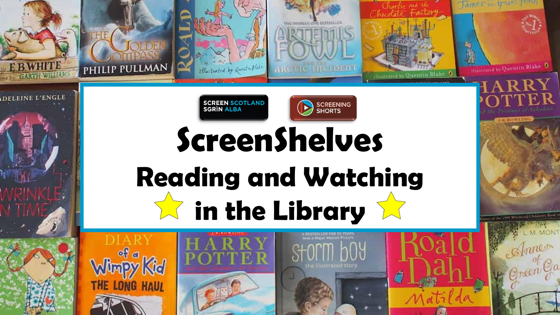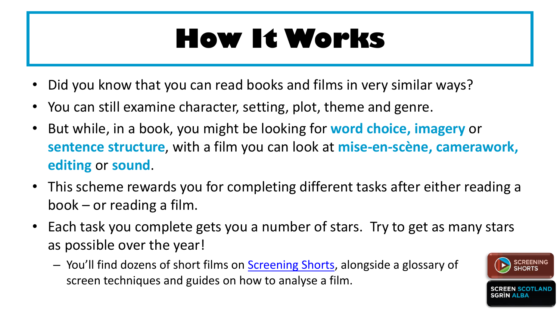#### **How It Works**

- Did you know that you can read books and films in very similar ways?
- You can still examine character, setting, plot, theme and genre.
- But while, in a book, you might be looking for **word choice, imagery** or **sentence structure**, with a film you can look at **mise-en-scène, camerawork, editing** or **sound**.
- This scheme rewards you for completing different tasks after either reading a book – or reading a film.
- Each task you complete gets you a number of stars. Try to get as many stars as possible over the year!
	- You'll find dozens of short films on [Screening Shorts,](https://screeningshorts.org.uk/) alongside a glossary of screen techniques and guides on how to analyse a film.

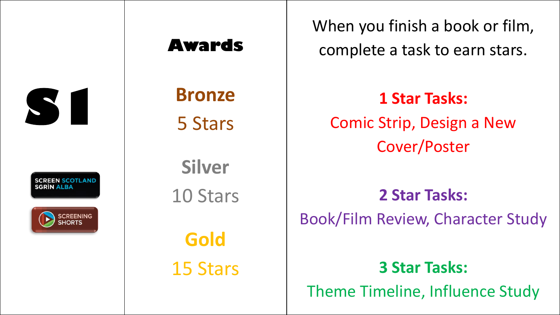

**SCREEN SCOTLAND** SGRÌN ALBA



**Awards**

**Bronze** 5 Stars

**Silver** 10 Stars **Gold**

15 Stars

When you finish a book or film, complete a task to earn stars.

**1 Star Tasks:**  Comic Strip, Design a New Cover/Poster

**2 Star Tasks:**  Book/Film Review, Character Study

**3 Star Tasks:** 

Theme Timeline, Influence Study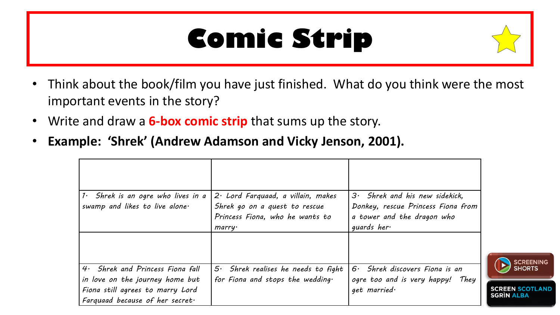#### **Comic Strip**



- Write and draw a **6-box comic strip** that sums up the story.
- **Example: 'Shrek' (Andrew Adamson and Vicky Jenson, 2001).**

| $1.$ Shrek is an ogre who lives in a<br>swamp and likes to live alone.                                 | $2 \cdot$ Lord Farquaad, a villain, makes<br>Shrek go on a quest to rescue<br>Princess Fiona, who he wants to<br>marry | $3.$ Shrek and his new sidekick,<br>Donkey, rescue Princess Fiona from<br>a tower and the dragon who<br>guards her $\cdot$ |
|--------------------------------------------------------------------------------------------------------|------------------------------------------------------------------------------------------------------------------------|----------------------------------------------------------------------------------------------------------------------------|
| 4. Shrek and Princess Fiona fall                                                                       | $5.$ Shrek realises he needs to fight                                                                                  | Shrek discovers Fiona is an<br>$6 \cdot$                                                                                   |
| in love on the journey home but<br>Fiona still agrees to marry Lord<br>Farquaad because of her secret. | for Fiona and stops the wedding.                                                                                       | ogre too and is very happy! They<br>$qet$ married $\cdot$                                                                  |

**OTLAND**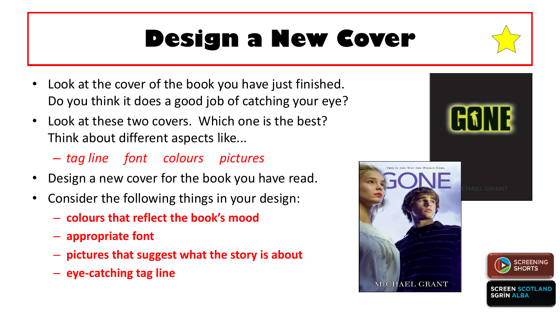#### **Design a New Cover**

- Look at the cover of the book you have just finished. Do you think it does a good job of catching your eye?
- Look at these two covers. Which one is the best? Think about different aspects like...
	- *tag line font colours pictures*
- Design a new cover for the book you have read.
- Consider the following things in your design:
	- **colours that reflect the book's mood**
	- **appropriate font**
	- **pictures that suggest what the story is about**
	- **eye-catching tag line**









SGRIN ALBA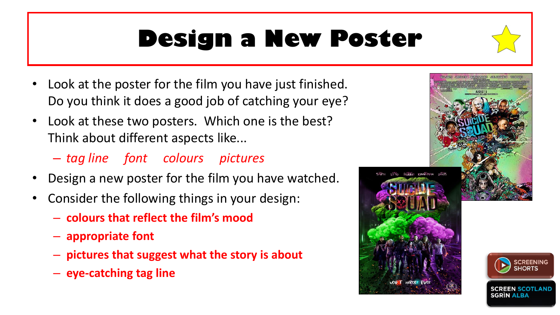#### **Design a New Poster**

- Look at the poster for the film you have just finished. Do you think it does a good job of catching your eye?
- Look at these two posters. Which one is the best? Think about different aspects like...
	- *tag line font colours pictures*
- Design a new poster for the film you have watched.
- Consider the following things in your design:
	- **colours that reflect the film's mood**
	- **appropriate font**
	- **pictures that suggest what the story is about**
	- **eye-catching tag line**





SGRÍN ALBA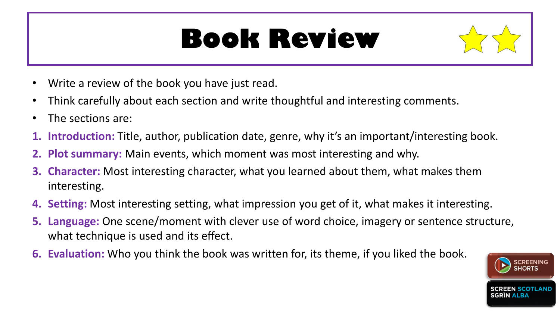#### **Book Review**



- Write a review of the book you have just read.
- Think carefully about each section and write thoughtful and interesting comments.
- The sections are:
- **1. Introduction:** Title, author, publication date, genre, why it's an important/interesting book.
- **2. Plot summary:** Main events, which moment was most interesting and why.
- **3. Character:** Most interesting character, what you learned about them, what makes them interesting.
- **4. Setting:** Most interesting setting, what impression you get of it, what makes it interesting.
- **5. Language:** One scene/moment with clever use of word choice, imagery or sentence structure, what technique is used and its effect.
- **6. Evaluation:** Who you think the book was written for, its theme, if you liked the book.

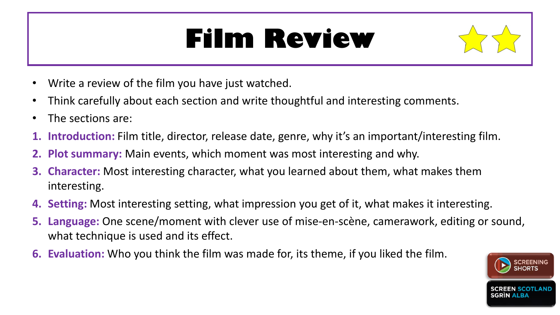#### **Film Review**



- Write a review of the film you have just watched.
- Think carefully about each section and write thoughtful and interesting comments.
- The sections are:
- **1. Introduction:** Film title, director, release date, genre, why it's an important/interesting film.
- **2. Plot summary:** Main events, which moment was most interesting and why.
- **3. Character:** Most interesting character, what you learned about them, what makes them interesting.
- **4. Setting:** Most interesting setting, what impression you get of it, what makes it interesting.
- **5. Language:** One scene/moment with clever use of mise-en-scène, camerawork, editing or sound, what technique is used and its effect.
- **6. Evaluation:** Who you think the film was made for, its theme, if you liked the film.

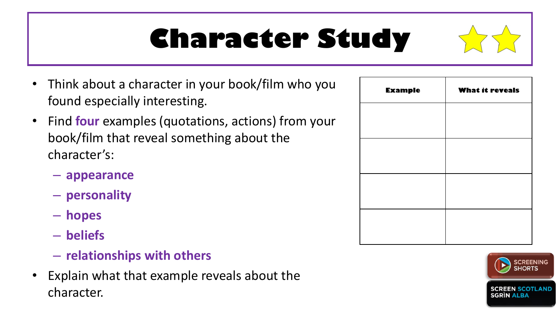### **Character Study**

- Think about a character in your book/film who you found especially interesting.
- Find **four** examples (quotations, actions) from your book/film that reveal something about the character's:
	- **appearance**
	- **personality**
	- **hopes**
	- **beliefs**
	- **relationships with others**
- Explain what that example reveals about the character.

| <b>Example</b> | <b>What it reveals</b> |  |  |
|----------------|------------------------|--|--|
|                |                        |  |  |
|                |                        |  |  |
|                |                        |  |  |
|                |                        |  |  |
|                |                        |  |  |

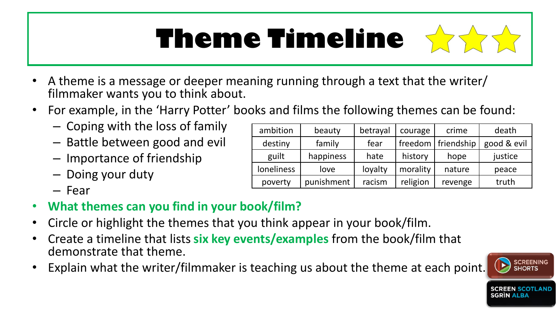## **Theme Timeline**



- For example, in the 'Harry Potter' books and films the following themes can be found:
	- Coping with the loss of family
	- Battle between good and evil
	- Importance of friendship
	- Doing your duty
	- Fear
- **What themes can you find in your book/film?**
- Circle or highlight the themes that you think appear in your book/film.
- Create a timeline that lists **six key events/examples** from the book/film that demonstrate that theme.
- Explain what the writer/filmmaker is teaching us about the theme at each point.

| ambition          | beauty     | betrayal | courage  | crime                | death       |
|-------------------|------------|----------|----------|----------------------|-------------|
| destiny           | family     | fear     |          | freedom   friendship | good & evil |
| guilt             | happiness  | hate     | history  | hope                 | justice     |
| <b>loneliness</b> | love       | loyalty  | morality | nature               | peace       |
| poverty           | punishment | racism   | religion | revenge              | truth       |

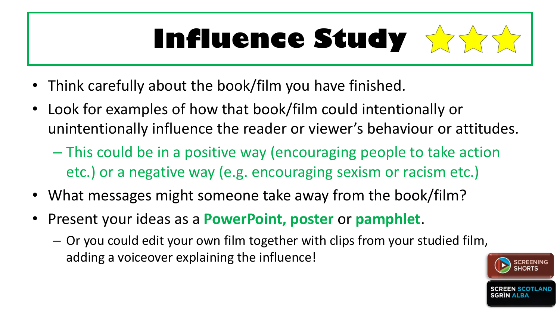### **Influence Study**

- Think carefully about the book/film you have finished.
- Look for examples of how that book/film could intentionally or unintentionally influence the reader or viewer's behaviour or attitudes.
	- This could be in a positive way (encouraging people to take action etc.) or a negative way (e.g. encouraging sexism or racism etc.)
- What messages might someone take away from the book/film?
- Present your ideas as a **PowerPoint, poster** or **pamphlet**.
	- Or you could edit your own film together with clips from your studied film, adding a voiceover explaining the influence!

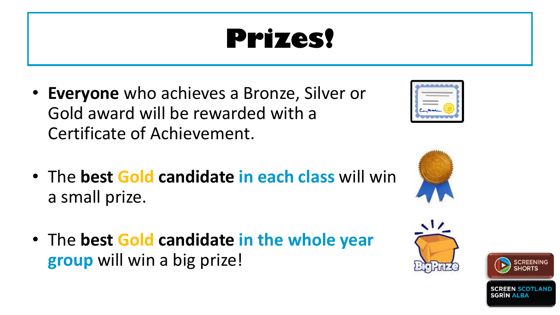### **Prizes!**

- **Everyone** who achieves a Bronze, Silver or Gold award will be rewarded with a Certificate of Achievement.
- The **best Gold candidate in each class** will win a small prize.
- The **best Gold candidate in the whole year group** will win a big prize!







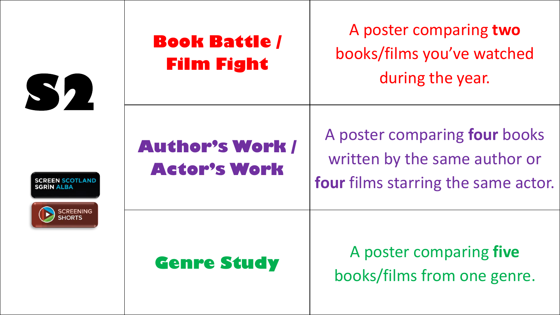

SGRÍN ALBA

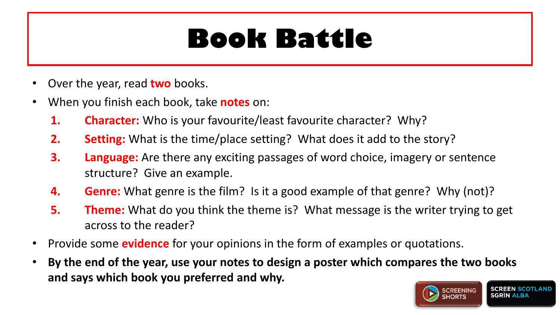#### **Book Battle**

- Over the year, read **two** books.
- When you finish each book, take **notes** on:
	- **1. Character:** Who is your favourite/least favourite character? Why?
	- **2. Setting:** What is the time/place setting? What does it add to the story?
	- **3. Language:** Are there any exciting passages of word choice, imagery or sentence structure? Give an example.
	- **4. Genre:** What genre is the film? Is it a good example of that genre? Why (not)?
	- **5. Theme:** What do you think the theme is? What message is the writer trying to get across to the reader?
- Provide some **evidence** for your opinions in the form of examples or quotations.
- **By the end of the year, use your notes to design a poster which compares the two books and says which book you preferred and why.**

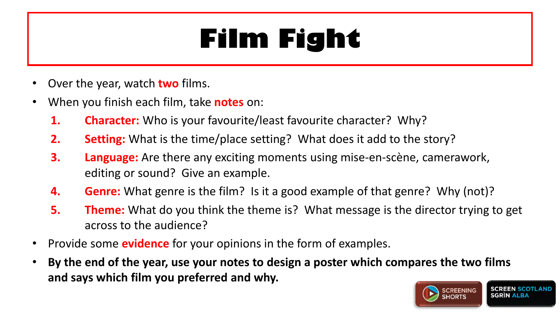### **Film Fight**

- Over the year, watch **two** films.
- When you finish each film, take **notes** on:
	- **1. Character:** Who is your favourite/least favourite character? Why?
	- **2. Setting:** What is the time/place setting? What does it add to the story?
	- **3. Language:** Are there any exciting moments using mise-en-scène, camerawork, editing or sound? Give an example.
	- **4. Genre:** What genre is the film? Is it a good example of that genre? Why (not)?
	- **5. Theme:** What do you think the theme is? What message is the director trying to get across to the audience?
- Provide some **evidence** for your opinions in the form of examples.
- **By the end of the year, use your notes to design a poster which compares the two films and says which film you preferred and why.**

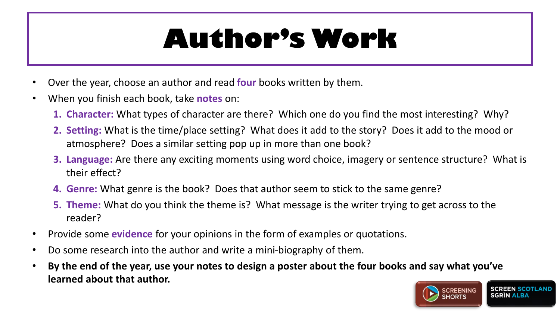### **Author's Work**

- Over the year, choose an author and read **four** books written by them.
- When you finish each book, take **notes** on:
	- **1. Character:** What types of character are there? Which one do you find the most interesting? Why?
	- **2. Setting:** What is the time/place setting? What does it add to the story? Does it add to the mood or atmosphere? Does a similar setting pop up in more than one book?
	- **3. Language:** Are there any exciting moments using word choice, imagery or sentence structure? What is their effect?
	- **4. Genre:** What genre is the book? Does that author seem to stick to the same genre?
	- **5. Theme:** What do you think the theme is? What message is the writer trying to get across to the reader?
- Provide some **evidence** for your opinions in the form of examples or quotations.
- Do some research into the author and write a mini-biography of them.
- **By the end of the year, use your notes to design a poster about the four books and say what you've learned about that author.**

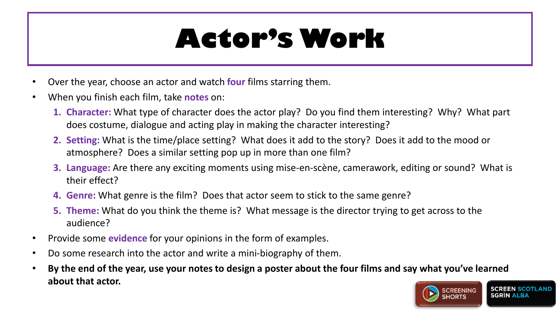#### **Actor's Work**

- Over the year, choose an actor and watch **four** films starring them.
- When you finish each film, take **notes** on:
	- **1. Character:** What type of character does the actor play? Do you find them interesting? Why? What part does costume, dialogue and acting play in making the character interesting?
	- **2. Setting:** What is the time/place setting? What does it add to the story? Does it add to the mood or atmosphere? Does a similar setting pop up in more than one film?
	- **3. Language:** Are there any exciting moments using mise-en-scène, camerawork, editing or sound? What is their effect?
	- **4. Genre:** What genre is the film? Does that actor seem to stick to the same genre?
	- **5. Theme:** What do you think the theme is? What message is the director trying to get across to the audience?
- Provide some **evidence** for your opinions in the form of examples.
- Do some research into the actor and write a mini-biography of them.
- **By the end of the year, use your notes to design a poster about the four films and say what you've learned about that actor.**

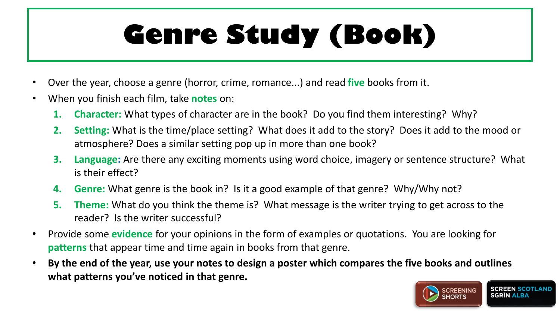## **Genre Study (Book)**

- Over the year, choose a genre (horror, crime, romance...) and read **five** books from it.
- When you finish each film, take **notes** on:
	- **1. Character:** What types of character are in the book? Do you find them interesting? Why?
	- **2. Setting:** What is the time/place setting? What does it add to the story? Does it add to the mood or atmosphere? Does a similar setting pop up in more than one book?
	- **3. Language:** Are there any exciting moments using word choice, imagery or sentence structure? What is their effect?
	- **4. Genre:** What genre is the book in? Is it a good example of that genre? Why/Why not?
	- **5. Theme:** What do you think the theme is? What message is the writer trying to get across to the reader? Is the writer successful?
- Provide some **evidence** for your opinions in the form of examples or quotations. You are looking for **patterns** that appear time and time again in books from that genre.
- **By the end of the year, use your notes to design a poster which compares the five books and outlines what patterns you've noticed in that genre.**

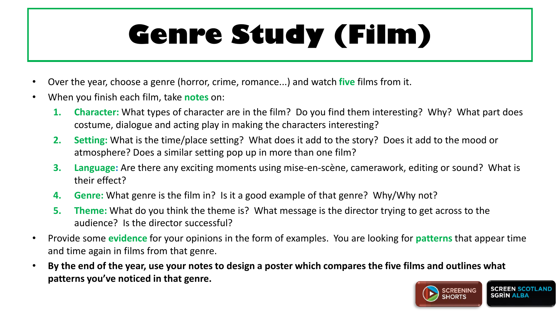## **Genre Study (Film)**

- Over the year, choose a genre (horror, crime, romance...) and watch **five** films from it.
- When you finish each film, take **notes** on:
	- **1. Character:** What types of character are in the film? Do you find them interesting? Why? What part does costume, dialogue and acting play in making the characters interesting?
	- **2. Setting:** What is the time/place setting? What does it add to the story? Does it add to the mood or atmosphere? Does a similar setting pop up in more than one film?
	- **3. Language:** Are there any exciting moments using mise-en-scène, camerawork, editing or sound? What is their effect?
	- **4. Genre:** What genre is the film in? Is it a good example of that genre? Why/Why not?
	- **5. Theme:** What do you think the theme is? What message is the director trying to get across to the audience? Is the director successful?
- Provide some **evidence** for your opinions in the form of examples. You are looking for **patterns** that appear time and time again in films from that genre.
- **By the end of the year, use your notes to design a poster which compares the five films and outlines what patterns you've noticed in that genre.**

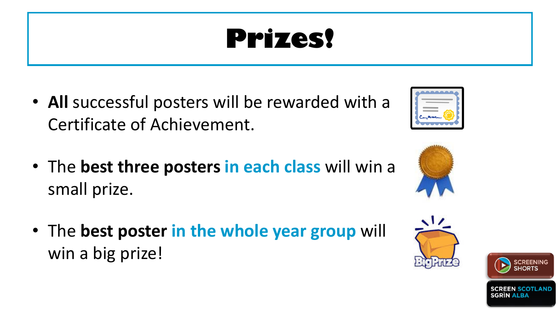### **Prizes!**

- **All** successful posters will be rewarded with a Certificate of Achievement.
- The **best three posters in each class** will win a small prize.
- The **best poster in the whole year group** will win a big prize!